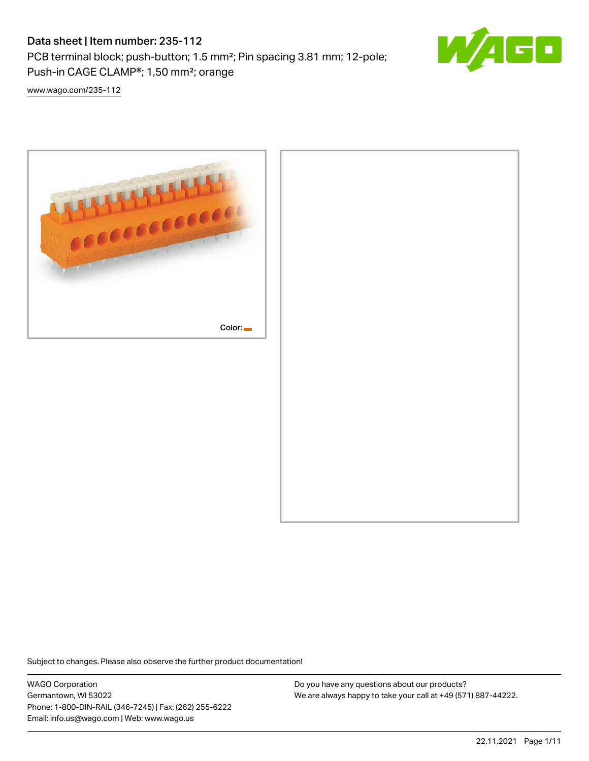# Data sheet | Item number: 235-112

PCB terminal block; push-button; 1.5 mm²; Pin spacing 3.81 mm; 12-pole; Push-in CAGE CLAMP®; 1,50 mm²; orange



[www.wago.com/235-112](http://www.wago.com/235-112)



Subject to changes. Please also observe the further product documentation!

WAGO Corporation Germantown, WI 53022 Phone: 1-800-DIN-RAIL (346-7245) | Fax: (262) 255-6222 Email: info.us@wago.com | Web: www.wago.us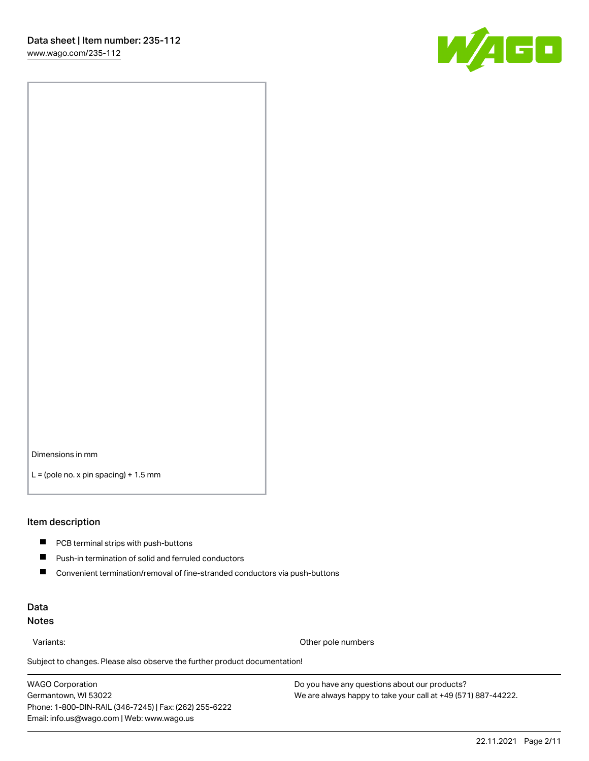

Dimensions in mm

 $L =$  (pole no. x pin spacing) + 1.5 mm

#### Item description

- **PCB terminal strips with push-buttons**
- $\blacksquare$ Push-in termination of solid and ferruled conductors
- $\blacksquare$ Convenient termination/removal of fine-stranded conductors via push-buttons

#### Data Notes

Variants: Other pole numbers

Subject to changes. Please also observe the further product documentation! Other colors

WAGO Corporation Germantown, WI 53022 Phone: 1-800-DIN-RAIL (346-7245) | Fax: (262) 255-6222 Email: info.us@wago.com | Web: www.wago.us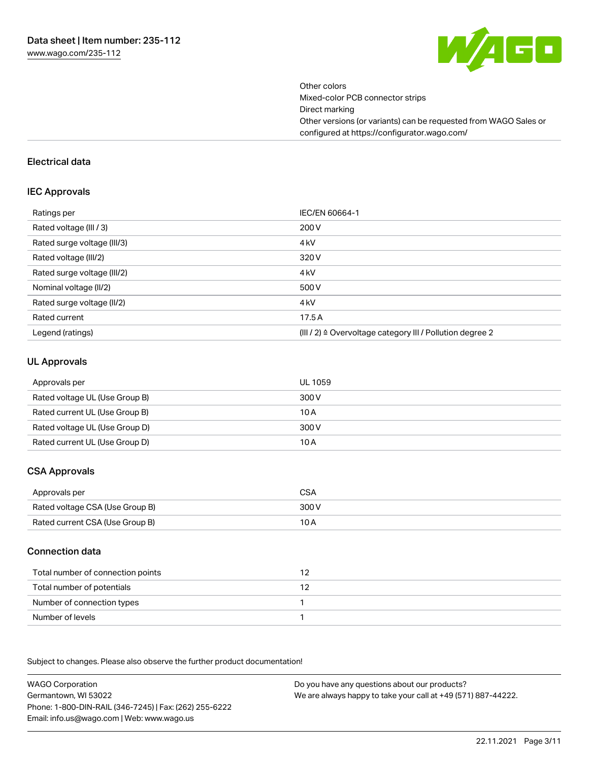

Other colors Mixed-color PCB connector strips Direct marking Other versions (or variants) can be requested from WAGO Sales or configured at https://configurator.wago.com/

#### Electrical data

#### IEC Approvals

| Ratings per                 | IEC/EN 60664-1                                                        |
|-----------------------------|-----------------------------------------------------------------------|
| Rated voltage (III / 3)     | 200 V                                                                 |
| Rated surge voltage (III/3) | 4 <sub>k</sub> V                                                      |
| Rated voltage (III/2)       | 320 V                                                                 |
| Rated surge voltage (III/2) | 4 <sub>k</sub> V                                                      |
| Nominal voltage (II/2)      | 500 V                                                                 |
| Rated surge voltage (II/2)  | 4 <sub>k</sub> V                                                      |
| Rated current               | 17.5A                                                                 |
| Legend (ratings)            | $(III / 2)$ $\triangle$ Overvoltage category III / Pollution degree 2 |

#### UL Approvals

| Approvals per                  | UL 1059 |
|--------------------------------|---------|
| Rated voltage UL (Use Group B) | 300 V   |
| Rated current UL (Use Group B) | 10 A    |
| Rated voltage UL (Use Group D) | 300 V   |
| Rated current UL (Use Group D) | 10 A    |

## CSA Approvals

| Approvals per                   | CSA   |
|---------------------------------|-------|
| Rated voltage CSA (Use Group B) | 300 V |
| Rated current CSA (Use Group B) | 10 A  |

#### Connection data

| Total number of connection points |  |
|-----------------------------------|--|
| Total number of potentials        |  |
| Number of connection types        |  |
| Number of levels                  |  |

.<br>Subject to changes. Please also observe the further product documentation!

WAGO Corporation Germantown, WI 53022 Phone: 1-800-DIN-RAIL (346-7245) | Fax: (262) 255-6222 Email: info.us@wago.com | Web: www.wago.us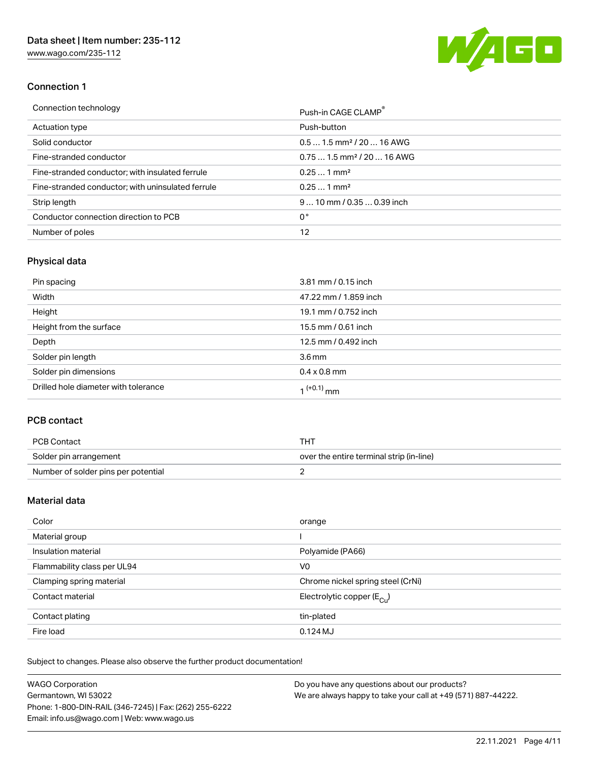[www.wago.com/235-112](http://www.wago.com/235-112)



## Connection 1

| Connection technology                             | Push-in CAGE CLAMP®                    |
|---------------------------------------------------|----------------------------------------|
| Actuation type                                    | Push-button                            |
| Solid conductor                                   | $0.51.5$ mm <sup>2</sup> / 20  16 AWG  |
| Fine-stranded conductor                           | $0.751.5$ mm <sup>2</sup> / 20  16 AWG |
| Fine-stranded conductor; with insulated ferrule   | $0.251$ mm <sup>2</sup>                |
| Fine-stranded conductor; with uninsulated ferrule | $0.251$ mm <sup>2</sup>                |
| Strip length                                      | $910$ mm $/0.350.39$ inch              |
| Conductor connection direction to PCB             | 0°                                     |
| Number of poles                                   | 12                                     |

# Physical data

| Pin spacing                          | 3.81 mm / 0.15 inch    |
|--------------------------------------|------------------------|
| Width                                | 47.22 mm / 1.859 inch  |
| Height                               | 19.1 mm / 0.752 inch   |
| Height from the surface              | 15.5 mm / 0.61 inch    |
| Depth                                | 12.5 mm / 0.492 inch   |
| Solder pin length                    | 3.6 <sub>mm</sub>      |
| Solder pin dimensions                | $0.4 \times 0.8$ mm    |
| Drilled hole diameter with tolerance | 1 <sup>(+0.1)</sup> mm |

## PCB contact

| PCB Contact                         | тнт                                      |
|-------------------------------------|------------------------------------------|
| Solder pin arrangement              | over the entire terminal strip (in-line) |
| Number of solder pins per potential |                                          |

#### Material data

| Color                       | orange                                |
|-----------------------------|---------------------------------------|
| Material group              |                                       |
| Insulation material         | Polyamide (PA66)                      |
| Flammability class per UL94 | V0                                    |
| Clamping spring material    | Chrome nickel spring steel (CrNi)     |
| Contact material            | Electrolytic copper $(E_{\text{CL}})$ |
| Contact plating             | tin-plated                            |
| Fire load                   | $0.124M$ J                            |

Subject to changes. Please also observe the further product documentation!

| <b>WAGO Corporation</b>                                | Do you have any questions about our products?                 |
|--------------------------------------------------------|---------------------------------------------------------------|
| Germantown, WI 53022                                   | We are always happy to take your call at +49 (571) 887-44222. |
| Phone: 1-800-DIN-RAIL (346-7245)   Fax: (262) 255-6222 |                                                               |
| Email: info.us@wago.com   Web: www.wago.us             |                                                               |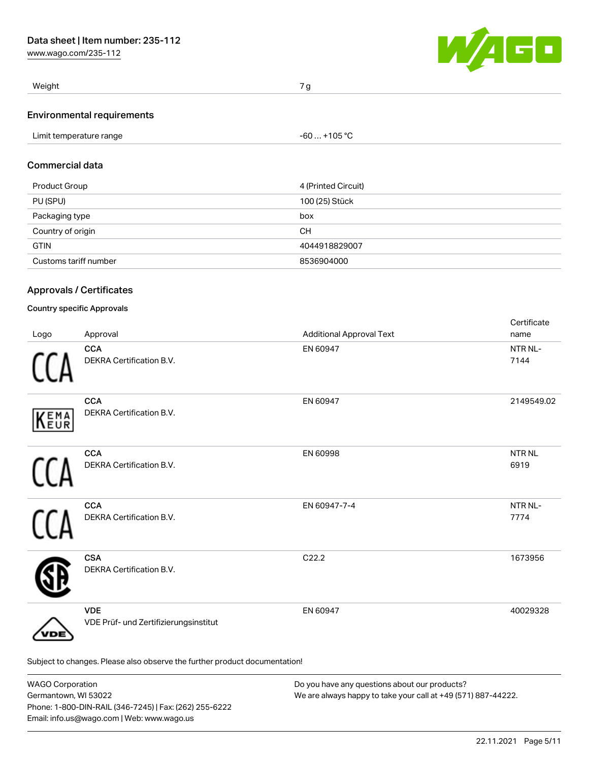[www.wago.com/235-112](http://www.wago.com/235-112)



| Weight                            | 7 <sub>0</sub> |
|-----------------------------------|----------------|
| <b>Environmental requirements</b> |                |

| Limit temperature range | $-60+105 °C$ |
|-------------------------|--------------|
|                         |              |

## Commercial data

| Product Group         | 4 (Printed Circuit) |
|-----------------------|---------------------|
| PU (SPU)              | 100 (25) Stück      |
| Packaging type        | box                 |
| Country of origin     | <b>CH</b>           |
| <b>GTIN</b>           | 4044918829007       |
| Customs tariff number | 8536904000          |

## Approvals / Certificates

#### Country specific Approvals

| Logo | Approval                                                                   | <b>Additional Approval Text</b> | Certificate<br>name  |
|------|----------------------------------------------------------------------------|---------------------------------|----------------------|
|      | <b>CCA</b><br>DEKRA Certification B.V.                                     | EN 60947                        | NTR NL-<br>7144      |
| KEMA | <b>CCA</b><br>DEKRA Certification B.V.                                     | EN 60947                        | 2149549.02           |
|      | <b>CCA</b><br>DEKRA Certification B.V.                                     | EN 60998                        | <b>NTRNL</b><br>6919 |
|      | <b>CCA</b><br>DEKRA Certification B.V.                                     | EN 60947-7-4                    | NTR NL-<br>7774      |
|      | <b>CSA</b><br>DEKRA Certification B.V.                                     | C22.2                           | 1673956              |
| DE   | <b>VDE</b><br>VDE Prüf- und Zertifizierungsinstitut                        | EN 60947                        | 40029328             |
|      | Subject to changes. Please also observe the further product documentation! |                                 |                      |

| <b>WAGO Corporation</b>                                | Do you have any questions about our products?                 |
|--------------------------------------------------------|---------------------------------------------------------------|
| Germantown, WI 53022                                   | We are always happy to take your call at +49 (571) 887-44222. |
| Phone: 1-800-DIN-RAIL (346-7245)   Fax: (262) 255-6222 |                                                               |
| Email: info.us@wago.com   Web: www.wago.us             |                                                               |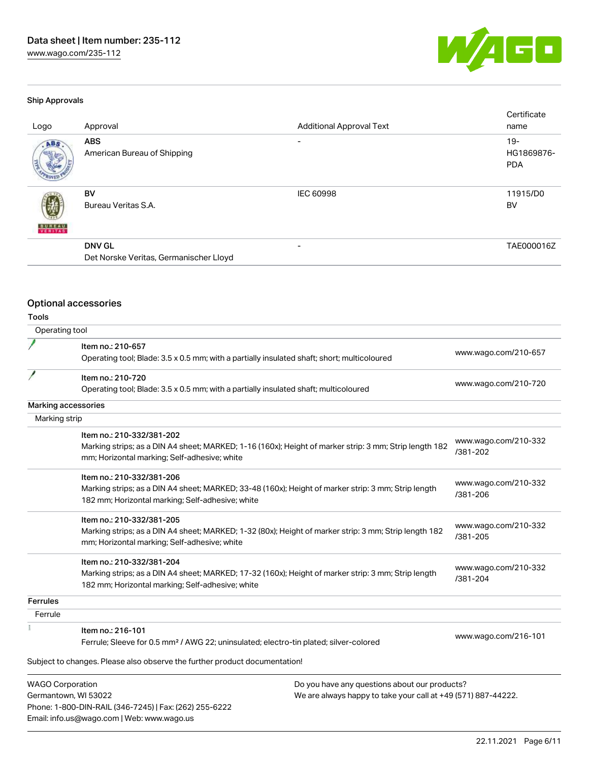[www.wago.com/235-112](http://www.wago.com/235-112)



#### Ship Approvals

| Logo                          | Approval                                                | <b>Additional Approval Text</b> | Certificate<br>name               |
|-------------------------------|---------------------------------------------------------|---------------------------------|-----------------------------------|
| ABS                           | <b>ABS</b><br>American Bureau of Shipping               | $\overline{\phantom{0}}$        | $19-$<br>HG1869876-<br><b>PDA</b> |
| 虁<br><b>BUREAU</b><br>VERITAS | BV<br>Bureau Veritas S.A.                               | <b>IEC 60998</b>                | 11915/D0<br>BV                    |
|                               | <b>DNV GL</b><br>Det Norske Veritas, Germanischer Lloyd | $\overline{\phantom{0}}$        | TAE000016Z                        |

# Optional accessories

Phone: 1-800-DIN-RAIL (346-7245) | Fax: (262) 255-6222

Email: info.us@wago.com | Web: www.wago.us

## Tools

| Operating tool                                  |                                                                                                                                                                                                      |                                                                                                                |                                  |
|-------------------------------------------------|------------------------------------------------------------------------------------------------------------------------------------------------------------------------------------------------------|----------------------------------------------------------------------------------------------------------------|----------------------------------|
|                                                 | Item no.: 210-657<br>Operating tool; Blade: 3.5 x 0.5 mm; with a partially insulated shaft; short; multicoloured                                                                                     |                                                                                                                | www.wago.com/210-657             |
| P                                               | Item no.: 210-720<br>Operating tool; Blade: 3.5 x 0.5 mm; with a partially insulated shaft; multicoloured                                                                                            |                                                                                                                | www.wago.com/210-720             |
| Marking accessories                             |                                                                                                                                                                                                      |                                                                                                                |                                  |
| Marking strip                                   |                                                                                                                                                                                                      |                                                                                                                |                                  |
|                                                 | Item no.: 210-332/381-202<br>Marking strips; as a DIN A4 sheet; MARKED; 1-16 (160x); Height of marker strip: 3 mm; Strip length 182<br>mm; Horizontal marking; Self-adhesive; white                  |                                                                                                                | www.wago.com/210-332<br>/381-202 |
|                                                 | Item no.: 210-332/381-206<br>Marking strips; as a DIN A4 sheet; MARKED; 33-48 (160x); Height of marker strip: 3 mm; Strip length<br>182 mm; Horizontal marking; Self-adhesive; white                 |                                                                                                                | www.wago.com/210-332<br>/381-206 |
|                                                 | Item no.: 210-332/381-205<br>Marking strips; as a DIN A4 sheet; MARKED; 1-32 (80x); Height of marker strip: 3 mm; Strip length 182<br>mm; Horizontal marking; Self-adhesive; white                   |                                                                                                                | www.wago.com/210-332<br>/381-205 |
|                                                 | Item no.: 210-332/381-204<br>Marking strips; as a DIN A4 sheet; MARKED; 17-32 (160x); Height of marker strip: 3 mm; Strip length<br>182 mm; Horizontal marking; Self-adhesive; white                 |                                                                                                                | www.wago.com/210-332<br>/381-204 |
| <b>Ferrules</b>                                 |                                                                                                                                                                                                      |                                                                                                                |                                  |
| Ferrule                                         |                                                                                                                                                                                                      |                                                                                                                |                                  |
|                                                 | Item no.: 216-101<br>Ferrule; Sleeve for 0.5 mm <sup>2</sup> / AWG 22; uninsulated; electro-tin plated; silver-colored<br>Subject to changes. Please also observe the further product documentation! |                                                                                                                | www.wago.com/216-101             |
| <b>WAGO Corporation</b><br>Germantown, WI 53022 |                                                                                                                                                                                                      | Do you have any questions about our products?<br>We are always happy to take your call at +49 (571) 887-44222. |                                  |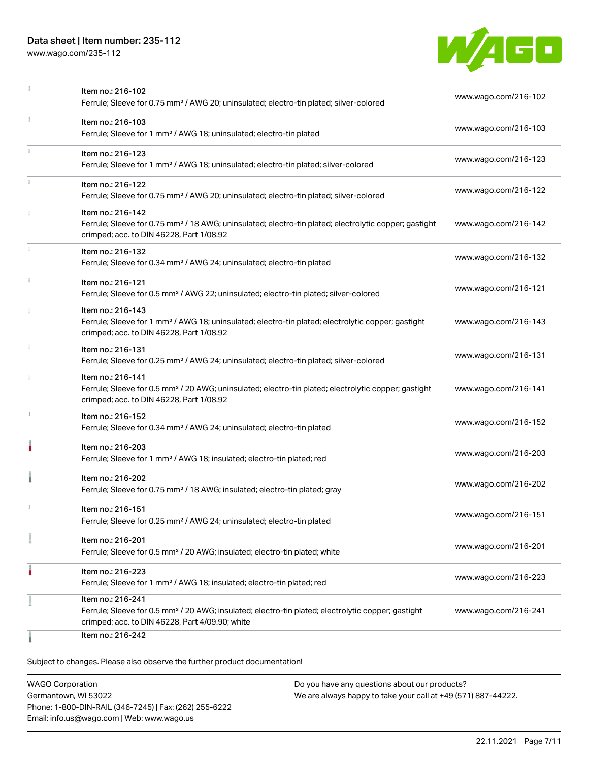## Data sheet | Item number: 235-112

[www.wago.com/235-112](http://www.wago.com/235-112)



|            | Item no.: 216-102                                                                                                                                                 | www.wago.com/216-102 |
|------------|-------------------------------------------------------------------------------------------------------------------------------------------------------------------|----------------------|
|            | Ferrule; Sleeve for 0.75 mm <sup>2</sup> / AWG 20; uninsulated; electro-tin plated; silver-colored                                                                |                      |
|            | Item no.: 216-103                                                                                                                                                 | www.wago.com/216-103 |
|            | Ferrule; Sleeve for 1 mm <sup>2</sup> / AWG 18; uninsulated; electro-tin plated                                                                                   |                      |
| $\ddot{x}$ | Item no.: 216-123                                                                                                                                                 | www.wago.com/216-123 |
|            | Ferrule; Sleeve for 1 mm <sup>2</sup> / AWG 18; uninsulated; electro-tin plated; silver-colored                                                                   |                      |
|            | Item no.: 216-122                                                                                                                                                 |                      |
|            | Ferrule; Sleeve for 0.75 mm <sup>2</sup> / AWG 20; uninsulated; electro-tin plated; silver-colored                                                                | www.wago.com/216-122 |
|            | Item no.: 216-142                                                                                                                                                 |                      |
|            | Ferrule; Sleeve for 0.75 mm <sup>2</sup> / 18 AWG; uninsulated; electro-tin plated; electrolytic copper; gastight<br>crimped; acc. to DIN 46228, Part 1/08.92     | www.wago.com/216-142 |
|            |                                                                                                                                                                   |                      |
|            | Item no.: 216-132<br>Ferrule; Sleeve for 0.34 mm <sup>2</sup> / AWG 24; uninsulated; electro-tin plated                                                           | www.wago.com/216-132 |
|            |                                                                                                                                                                   |                      |
|            | Item no.: 216-121<br>Ferrule; Sleeve for 0.5 mm <sup>2</sup> / AWG 22; uninsulated; electro-tin plated; silver-colored                                            | www.wago.com/216-121 |
|            | Item no.: 216-143                                                                                                                                                 |                      |
|            | Ferrule; Sleeve for 1 mm <sup>2</sup> / AWG 18; uninsulated; electro-tin plated; electrolytic copper; gastight                                                    | www.wago.com/216-143 |
|            | crimped; acc. to DIN 46228, Part 1/08.92                                                                                                                          |                      |
| 1          | Item no.: 216-131                                                                                                                                                 | www.wago.com/216-131 |
|            | Ferrule; Sleeve for 0.25 mm <sup>2</sup> / AWG 24; uninsulated; electro-tin plated; silver-colored                                                                |                      |
|            | Item no.: 216-141                                                                                                                                                 |                      |
|            | Ferrule; Sleeve for 0.5 mm <sup>2</sup> / 20 AWG; uninsulated; electro-tin plated; electrolytic copper; gastight<br>crimped; acc. to DIN 46228, Part 1/08.92      | www.wago.com/216-141 |
|            |                                                                                                                                                                   |                      |
|            | Item no.: 216-152<br>Ferrule; Sleeve for 0.34 mm <sup>2</sup> / AWG 24; uninsulated; electro-tin plated                                                           | www.wago.com/216-152 |
|            |                                                                                                                                                                   |                      |
|            | Item no.: 216-203<br>Ferrule; Sleeve for 1 mm <sup>2</sup> / AWG 18; insulated; electro-tin plated; red                                                           | www.wago.com/216-203 |
|            |                                                                                                                                                                   |                      |
|            | Item no.: 216-202<br>Ferrule; Sleeve for 0.75 mm <sup>2</sup> / 18 AWG; insulated; electro-tin plated; gray                                                       | www.wago.com/216-202 |
|            |                                                                                                                                                                   |                      |
|            | Item no.: 216-151                                                                                                                                                 | www.wago.com/216-151 |
|            | Ferrule; Sleeve for 0.25 mm <sup>2</sup> / AWG 24; uninsulated; electro-tin plated                                                                                |                      |
|            | Item no.: 216-201                                                                                                                                                 | www.wago.com/216-201 |
|            | Ferrule; Sleeve for 0.5 mm <sup>2</sup> / 20 AWG; insulated; electro-tin plated; white                                                                            |                      |
|            | Item no.: 216-223                                                                                                                                                 | www.wago.com/216-223 |
|            | Ferrule; Sleeve for 1 mm <sup>2</sup> / AWG 18; insulated; electro-tin plated; red                                                                                |                      |
|            | Item no.: 216-241                                                                                                                                                 |                      |
|            | Ferrule; Sleeve for 0.5 mm <sup>2</sup> / 20 AWG; insulated; electro-tin plated; electrolytic copper; gastight<br>crimped; acc. to DIN 46228, Part 4/09.90; white | www.wago.com/216-241 |
|            | Item no.: 216-242                                                                                                                                                 |                      |
|            |                                                                                                                                                                   |                      |

Subject to changes. Please also observe the further product documentation!

WAGO Corporation Germantown, WI 53022 Phone: 1-800-DIN-RAIL (346-7245) | Fax: (262) 255-6222 Email: info.us@wago.com | Web: www.wago.us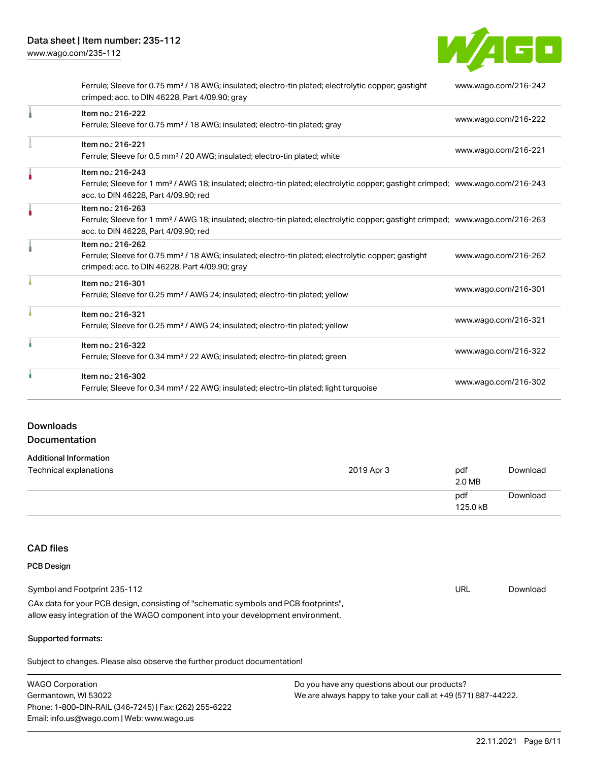W/4GO

|   | Ferrule; Sleeve for 0.75 mm <sup>2</sup> / 18 AWG; insulated; electro-tin plated; electrolytic copper; gastight<br>crimped; acc. to DIN 46228, Part 4/09.90; gray                                       | www.wago.com/216-242 |
|---|---------------------------------------------------------------------------------------------------------------------------------------------------------------------------------------------------------|----------------------|
|   | Item no.: 216-222<br>Ferrule; Sleeve for 0.75 mm <sup>2</sup> / 18 AWG; insulated; electro-tin plated; gray                                                                                             | www.wago.com/216-222 |
|   | Item no.: 216-221<br>Ferrule; Sleeve for 0.5 mm <sup>2</sup> / 20 AWG; insulated; electro-tin plated; white                                                                                             | www.wago.com/216-221 |
|   | Item no.: 216-243<br>Ferrule; Sleeve for 1 mm <sup>2</sup> / AWG 18; insulated; electro-tin plated; electrolytic copper; gastight crimped; www.wago.com/216-243<br>acc. to DIN 46228, Part 4/09.90; red |                      |
|   | Item no.: 216-263<br>Ferrule; Sleeve for 1 mm <sup>2</sup> / AWG 18; insulated; electro-tin plated; electrolytic copper; gastight crimped; www.wago.com/216-263<br>acc. to DIN 46228, Part 4/09.90; red |                      |
|   | Item no.: 216-262<br>Ferrule; Sleeve for 0.75 mm <sup>2</sup> / 18 AWG; insulated; electro-tin plated; electrolytic copper; gastight<br>crimped; acc. to DIN 46228, Part 4/09.90; gray                  | www.wago.com/216-262 |
|   | Item no.: 216-301<br>Ferrule; Sleeve for 0.25 mm <sup>2</sup> / AWG 24; insulated; electro-tin plated; yellow                                                                                           | www.wago.com/216-301 |
|   | Item no.: 216-321<br>Ferrule; Sleeve for 0.25 mm <sup>2</sup> / AWG 24; insulated; electro-tin plated; yellow                                                                                           | www.wago.com/216-321 |
|   | Item no.: 216-322<br>Ferrule; Sleeve for 0.34 mm <sup>2</sup> / 22 AWG; insulated; electro-tin plated; green                                                                                            | www.wago.com/216-322 |
| ٠ | Item no.: 216-302<br>Ferrule; Sleeve for 0.34 mm <sup>2</sup> / 22 AWG; insulated; electro-tin plated; light turquoise                                                                                  | www.wago.com/216-302 |

## Downloads Documentation

| <b>Additional Information</b> |
|-------------------------------|

| Technical explanations | 2019 Apr 3 | pdf<br>2.0 MB   | Download |
|------------------------|------------|-----------------|----------|
|                        |            | pdf<br>125.0 kB | Download |

# CAD files PCB Design

| Symbol and Footprint 235-112                                                        | URL | Download |
|-------------------------------------------------------------------------------------|-----|----------|
| CAx data for your PCB design, consisting of "schematic symbols and PCB footprints", |     |          |
| allow easy integration of the WAGO component into your development environment.     |     |          |

#### Supported formats:

Subject to changes. Please also observe the further product documentation!

| <b>WAGO Corporation</b>                                | Do you have any questions about our products?                 |
|--------------------------------------------------------|---------------------------------------------------------------|
| Germantown, WI 53022                                   | We are always happy to take your call at +49 (571) 887-44222. |
| Phone: 1-800-DIN-RAIL (346-7245)   Fax: (262) 255-6222 |                                                               |
| Email: info.us@wago.com   Web: www.wago.us             |                                                               |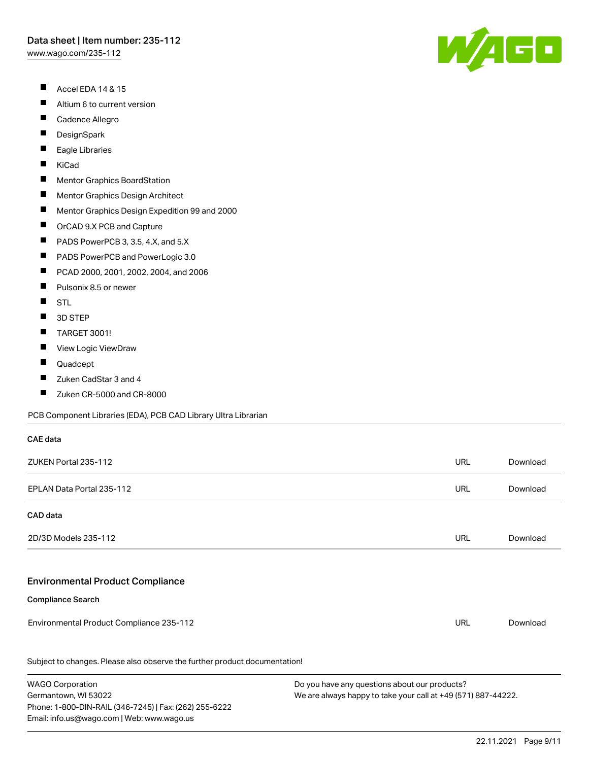- П Accel EDA 14 & 15
- П Altium 6 to current version
- $\blacksquare$ Cadence Allegro
- $\blacksquare$ **DesignSpark**
- Eagle Libraries  $\blacksquare$
- П KiCad
- $\blacksquare$ Mentor Graphics BoardStation
- $\blacksquare$ Mentor Graphics Design Architect
- $\blacksquare$ Mentor Graphics Design Expedition 99 and 2000
- $\blacksquare$ OrCAD 9.X PCB and Capture
- П PADS PowerPCB 3, 3.5, 4.X, and 5.X
- П PADS PowerPCB and PowerLogic 3.0
- $\blacksquare$ PCAD 2000, 2001, 2002, 2004, and 2006
- П Pulsonix 8.5 or newer
- $\blacksquare$ **STL**

CAE data

- $\blacksquare$ 3D STEP
- $\blacksquare$ TARGET 3001!
- $\blacksquare$ View Logic ViewDraw
- $\blacksquare$ Quadcept

Germantown, WI 53022

Phone: 1-800-DIN-RAIL (346-7245) | Fax: (262) 255-6222

Email: info.us@wago.com | Web: www.wago.us

- П Zuken CadStar 3 and 4
- $\blacksquare$ Zuken CR-5000 and CR-8000

PCB Component Libraries (EDA), PCB CAD Library Ultra Librarian

| ZUKEN Portal 235-112                                                       |                                               | <b>URL</b> | Download |
|----------------------------------------------------------------------------|-----------------------------------------------|------------|----------|
| EPLAN Data Portal 235-112                                                  |                                               | <b>URL</b> | Download |
| CAD data                                                                   |                                               |            |          |
| 2D/3D Models 235-112                                                       |                                               | <b>URL</b> | Download |
| <b>Environmental Product Compliance</b>                                    |                                               |            |          |
| <b>Compliance Search</b>                                                   |                                               |            |          |
| Environmental Product Compliance 235-112                                   |                                               | <b>URL</b> | Download |
| Subject to changes. Please also observe the further product documentation! |                                               |            |          |
| <b>WAGO Corporation</b>                                                    | Do you have any questions about our products? |            |          |



We are always happy to take your call at +49 (571) 887-44222.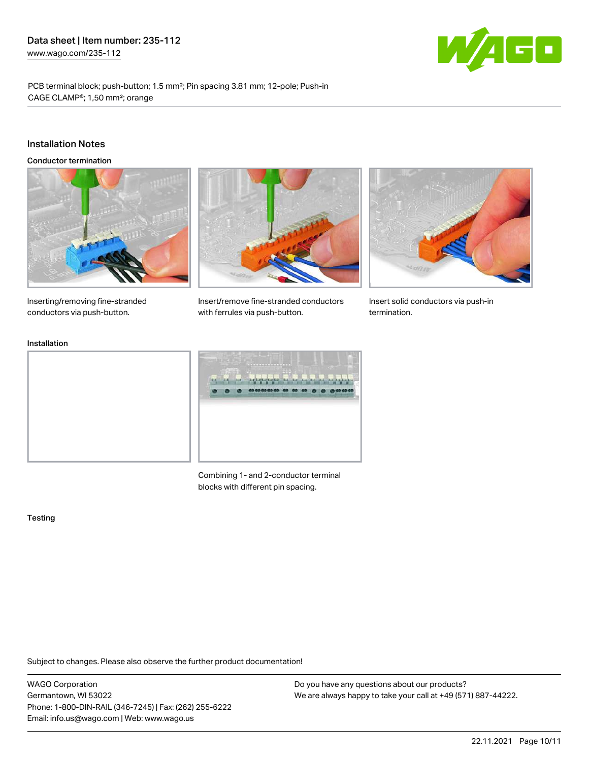

PCB terminal block; push-button; 1.5 mm²; Pin spacing 3.81 mm; 12-pole; Push-in CAGE CLAMP®; 1,50 mm²; orange

#### Installation Notes

Conductor termination





Insert/remove fine-stranded conductors



Insert solid conductors via push-in termination.

Inserting/removing fine-stranded conductors via push-button.

#### Installation



with ferrules via push-button.

Combining 1- and 2-conductor terminal blocks with different pin spacing.

#### **Testing**

Subject to changes. Please also observe the further product documentation!

WAGO Corporation Germantown, WI 53022 Phone: 1-800-DIN-RAIL (346-7245) | Fax: (262) 255-6222 Email: info.us@wago.com | Web: www.wago.us